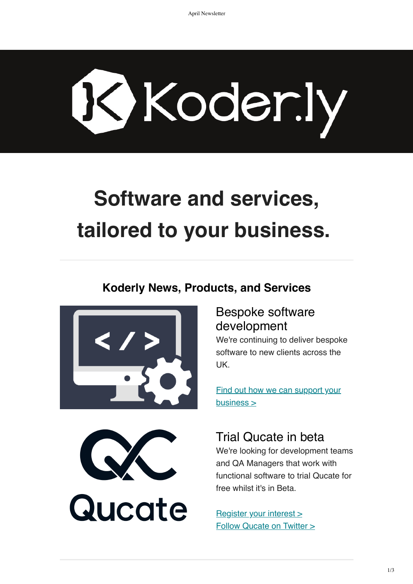# Koder.ly

# **Software and services, tailored to your business.**

#### **Koderly News, Products, and Services**







#### Bespoke software development

We're continuing to deliver bespoke software to new clients across the UK.

[Find out how we can support your](https://www.koder.ly/bespoke-development-services/) business >

#### Trial Qucate in beta

We're looking for development teams and QA Managers that work with functional software to trial Qucate for free whilst it's in Beta.

[Register your interest >](https://www.koder.ly/functional-testing-test-management/) [Follow Qucate on Twitter >](https://www.twitter.com/qucate)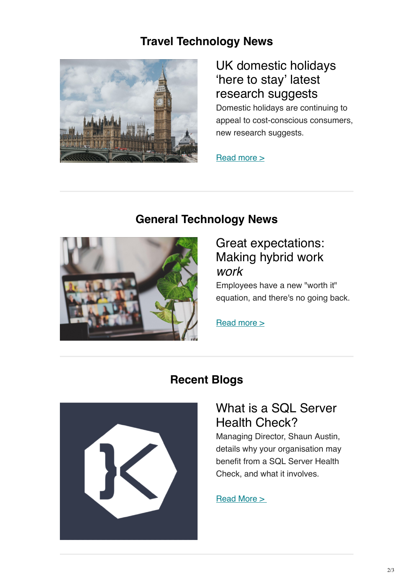#### **Travel Technology News**



# UK domestic holidays 'here to stay' latest research suggests

Domestic holidays are continuing to appeal to cost-conscious consumers, new research suggests.

Read more  $\geq$ 

#### **General Technology News**



#### Great expectations: Making hybrid work *work*

Employees have a new "worth it" equation, and there's no going back.

[Read more >](https://www.microsoft.com/en-us/worklab/work-trend-index/great-expectations-making-hybrid-work-work)

# **Recent Blogs**



## What is a SQL Server Health Check?

Managing Director, Shaun Austin, details why your organisation may benefit from a SQL Server Health Check, and what it involves.

#### [Read More >](https://www.koder.ly/2022/04/what-is-a-sql-server-health-check/)